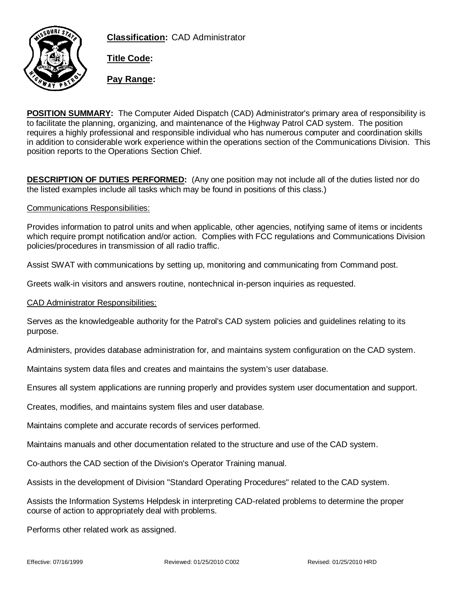



**Title Code:**

**Pay Range:**

**POSITION SUMMARY:** The Computer Aided Dispatch (CAD) Administrator's primary area of responsibility is to facilitate the planning, organizing, and maintenance of the Highway Patrol CAD system. The position requires a highly professional and responsible individual who has numerous computer and coordination skills in addition to considerable work experience within the operations section of the Communications Division. This position reports to the Operations Section Chief.

**DESCRIPTION OF DUTIES PERFORMED:** (Any one position may not include all of the duties listed nor do the listed examples include all tasks which may be found in positions of this class.)

## Communications Responsibilities:

Provides information to patrol units and when applicable, other agencies, notifying same of items or incidents which require prompt notification and/or action. Complies with FCC regulations and Communications Division policies/procedures in transmission of all radio traffic.

Assist SWAT with communications by setting up, monitoring and communicating from Command post.

Greets walk-in visitors and answers routine, nontechnical in-person inquiries as requested.

CAD Administrator Responsibilities:

Serves as the knowledgeable authority for the Patrol's CAD system policies and guidelines relating to its purpose.

Administers, provides database administration for, and maintains system configuration on the CAD system.

Maintains system data files and creates and maintains the system's user database.

Ensures all system applications are running properly and provides system user documentation and support.

Creates, modifies, and maintains system files and user database.

Maintains complete and accurate records of services performed.

Maintains manuals and other documentation related to the structure and use of the CAD system.

Co-authors the CAD section of the Division's Operator Training manual.

Assists in the development of Division "Standard Operating Procedures" related to the CAD system.

Assists the Information Systems Helpdesk in interpreting CAD-related problems to determine the proper course of action to appropriately deal with problems.

Performs other related work as assigned.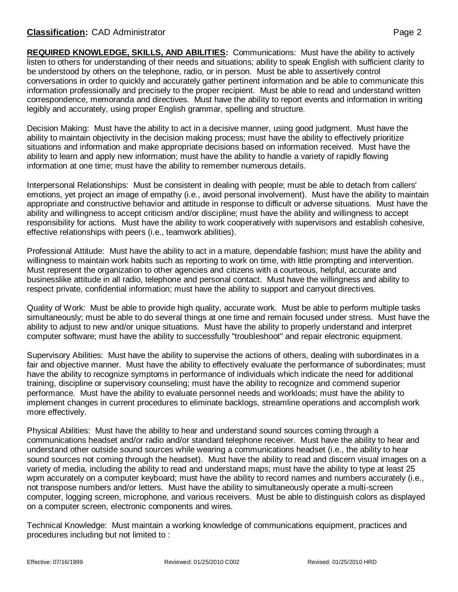## **Classification:** CAD Administrator **Page 2**

**REQUIRED KNOWLEDGE, SKILLS, AND ABILITIES:** Communications: Must have the ability to actively listen to others for understanding of their needs and situations; ability to speak English with sufficient clarity to be understood by others on the telephone, radio, or in person. Must be able to assertively control conversations in order to quickly and accurately gather pertinent information and be able to communicate this information professionally and precisely to the proper recipient. Must be able to read and understand written correspondence, memoranda and directives. Must have the ability to report events and information in writing legibly and accurately, using proper English grammar, spelling and structure.

Decision Making: Must have the ability to act in a decisive manner, using good judgment. Must have the ability to maintain objectivity in the decision making process; must have the ability to effectively prioritize situations and information and make appropriate decisions based on information received. Must have the ability to learn and apply new information; must have the ability to handle a variety of rapidly flowing information at one time; must have the ability to remember numerous details.

Interpersonal Relationships: Must be consistent in dealing with people; must be able to detach from callers' emotions, yet project an image of empathy (i.e., avoid personal involvement). Must have the ability to maintain appropriate and constructive behavior and attitude in response to difficult or adverse situations. Must have the ability and willingness to accept criticism and/or discipline; must have the ability and willingness to accept responsibility for actions. Must have the ability to work cooperatively with supervisors and establish cohesive, effective relationships with peers (i.e., teamwork abilities).

Professional Attitude: Must have the ability to act in a mature, dependable fashion; must have the ability and willingness to maintain work habits such as reporting to work on time, with little prompting and intervention. Must represent the organization to other agencies and citizens with a courteous, helpful, accurate and businesslike attitude in all radio, telephone and personal contact. Must have the willingness and ability to respect private, confidential information; must have the ability to support and carryout directives.

Quality of Work: Must be able to provide high quality, accurate work. Must be able to perform multiple tasks simultaneously; must be able to do several things at one time and remain focused under stress. Must have the ability to adjust to new and/or unique situations. Must have the ability to properly understand and interpret computer software; must have the ability to successfully "troubleshoot" and repair electronic equipment.

Supervisory Abilities: Must have the ability to supervise the actions of others, dealing with subordinates in a fair and objective manner. Must have the ability to effectively evaluate the performance of subordinates; must have the ability to recognize symptoms in performance of individuals which indicate the need for additional training, discipline or supervisory counseling; must have the ability to recognize and commend superior performance. Must have the ability to evaluate personnel needs and workloads; must have the ability to implement changes in current procedures to eliminate backlogs, streamline operations and accomplish work more effectively.

Physical Abilities: Must have the ability to hear and understand sound sources coming through a communications headset and/or radio and/or standard telephone receiver. Must have the ability to hear and understand other outside sound sources while wearing a communications headset (i.e., the ability to hear sound sources not coming through the headset). Must have the ability to read and discern visual images on a variety of media, including the ability to read and understand maps; must have the ability to type at least 25 wpm accurately on a computer keyboard; must have the ability to record names and numbers accurately (i.e., not transpose numbers and/or letters. Must have the ability to simultaneously operate a multi-screen computer, logging screen, microphone, and various receivers. Must be able to distinguish colors as displayed on a computer screen, electronic components and wires.

Technical Knowledge: Must maintain a working knowledge of communications equipment, practices and procedures including but not limited to :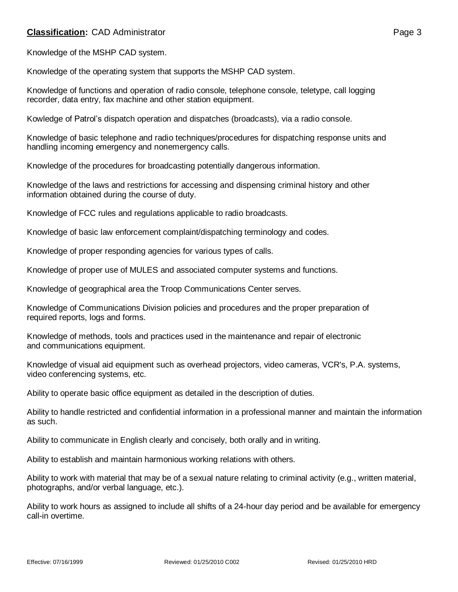## **Classification:** CAD Administrator **Page 3**

Knowledge of the MSHP CAD system.

Knowledge of the operating system that supports the MSHP CAD system.

Knowledge of functions and operation of radio console, telephone console, teletype, call logging recorder, data entry, fax machine and other station equipment.

Kowledge of Patrol's dispatch operation and dispatches (broadcasts), via a radio console.

Knowledge of basic telephone and radio techniques/procedures for dispatching response units and handling incoming emergency and nonemergency calls.

Knowledge of the procedures for broadcasting potentially dangerous information.

Knowledge of the laws and restrictions for accessing and dispensing criminal history and other information obtained during the course of duty.

Knowledge of FCC rules and regulations applicable to radio broadcasts.

Knowledge of basic law enforcement complaint/dispatching terminology and codes.

Knowledge of proper responding agencies for various types of calls.

Knowledge of proper use of MULES and associated computer systems and functions.

Knowledge of geographical area the Troop Communications Center serves.

Knowledge of Communications Division policies and procedures and the proper preparation of required reports, logs and forms.

Knowledge of methods, tools and practices used in the maintenance and repair of electronic and communications equipment.

Knowledge of visual aid equipment such as overhead projectors, video cameras, VCR's, P.A. systems, video conferencing systems, etc.

Ability to operate basic office equipment as detailed in the description of duties.

Ability to handle restricted and confidential information in a professional manner and maintain the information as such.

Ability to communicate in English clearly and concisely, both orally and in writing.

Ability to establish and maintain harmonious working relations with others.

Ability to work with material that may be of a sexual nature relating to criminal activity (e.g., written material, photographs, and/or verbal language, etc.).

Ability to work hours as assigned to include all shifts of a 24-hour day period and be available for emergency call-in overtime.